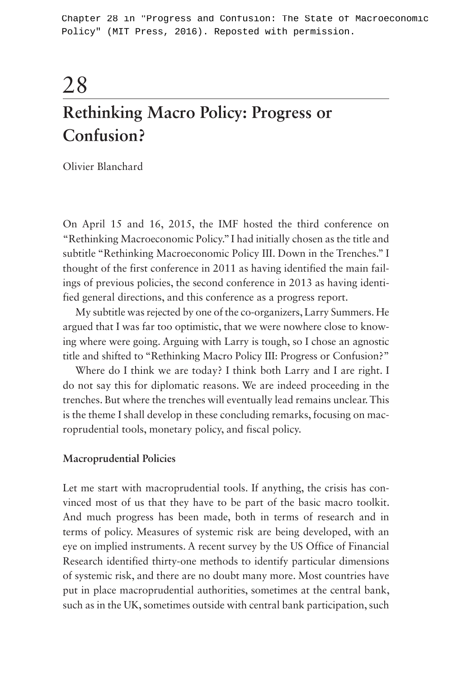Chapter 28 in "Progress and Confusion: The State of Macroeconomic Policy" (MIT Press, 2016). Reposted with permission.

# 28 **Rethinking Macro Policy: Progress or Confusion?**

Olivier Blanchard

On April 15 and 16, 2015, the IMF hosted the third conference on "Rethinking Macroeconomic Policy." I had initially chosen as the title and subtitle "Rethinking Macroeconomic Policy III. Down in the Trenches." I thought of the first conference in 2011 as having identified the main failings of previous policies, the second conference in 2013 as having identified general directions, and this conference as a progress report.

My subtitle was rejected by one of the co-organizers, Larry Summers. He argued that I was far too optimistic, that we were nowhere close to knowing where were going. Arguing with Larry is tough, so I chose an agnostic title and shifted to "Rethinking Macro Policy III: Progress or Confusion?"

Where do I think we are today? I think both Larry and I are right. I do not say this for diplomatic reasons. We are indeed proceeding in the trenches. But where the trenches will eventually lead remains unclear. This is the theme I shall develop in these concluding remarks, focusing on macroprudential tools, monetary policy, and fiscal policy.

### **Macroprudential Policies**

Let me start with macroprudential tools. If anything, the crisis has convinced most of us that they have to be part of the basic macro toolkit. And much progress has been made, both in terms of research and in terms of policy. Measures of systemic risk are being developed, with an eye on implied instruments. A recent survey by the US Office of Financial Research identified thirty-one methods to identify particular dimensions of systemic risk, and there are no doubt many more. Most countries have put in place macroprudential authorities, sometimes at the central bank, such as in the UK, sometimes outside with central bank participation, such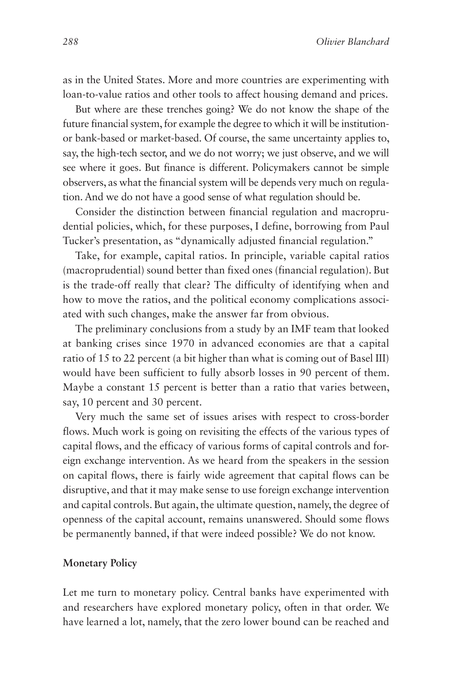as in the United States. More and more countries are experimenting with loan-to-value ratios and other tools to affect housing demand and prices.

But where are these trenches going? We do not know the shape of the future financial system, for example the degree to which it will be institutionor bank-based or market-based. Of course, the same uncertainty applies to, say, the high-tech sector, and we do not worry; we just observe, and we will see where it goes. But finance is different. Policymakers cannot be simple observers, as what the financial system will be depends very much on regulation. And we do not have a good sense of what regulation should be.

Consider the distinction between financial regulation and macroprudential policies, which, for these purposes, I define, borrowing from Paul Tucker's presentation, as "dynamically adjusted financial regulation."

Take, for example, capital ratios. In principle, variable capital ratios (macroprudential) sound better than fixed ones (financial regulation). But is the trade-off really that clear? The difficulty of identifying when and how to move the ratios, and the political economy complications associated with such changes, make the answer far from obvious.

The preliminary conclusions from a study by an IMF team that looked at banking crises since 1970 in advanced economies are that a capital ratio of 15 to 22 percent (a bit higher than what is coming out of Basel III) would have been sufficient to fully absorb losses in 90 percent of them. Maybe a constant 15 percent is better than a ratio that varies between, say, 10 percent and 30 percent.

Very much the same set of issues arises with respect to cross-border flows. Much work is going on revisiting the effects of the various types of capital flows, and the efficacy of various forms of capital controls and foreign exchange intervention. As we heard from the speakers in the session on capital flows, there is fairly wide agreement that capital flows can be disruptive, and that it may make sense to use foreign exchange intervention and capital controls. But again, the ultimate question, namely, the degree of openness of the capital account, remains unanswered. Should some flows be permanently banned, if that were indeed possible? We do not know.

### **Monetary Policy**

Let me turn to monetary policy. Central banks have experimented with and researchers have explored monetary policy, often in that order. We have learned a lot, namely, that the zero lower bound can be reached and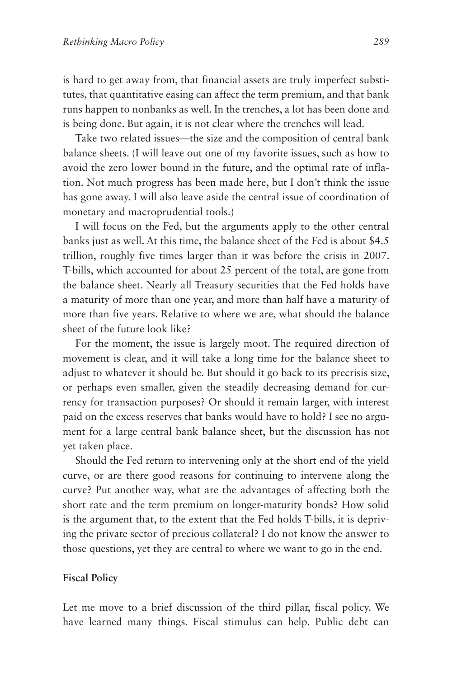is hard to get away from, that financial assets are truly imperfect substitutes, that quantitative easing can affect the term premium, and that bank runs happen to nonbanks as well. In the trenches, a lot has been done and is being done. But again, it is not clear where the trenches will lead.

Take two related issues—the size and the composition of central bank balance sheets. (I will leave out one of my favorite issues, such as how to avoid the zero lower bound in the future, and the optimal rate of inflation. Not much progress has been made here, but I don't think the issue has gone away. I will also leave aside the central issue of coordination of monetary and macroprudential tools.)

I will focus on the Fed, but the arguments apply to the other central banks just as well. At this time, the balance sheet of the Fed is about \$4.5 trillion, roughly five times larger than it was before the crisis in 2007. T-bills, which accounted for about 25 percent of the total, are gone from the balance sheet. Nearly all Treasury securities that the Fed holds have a maturity of more than one year, and more than half have a maturity of more than five years. Relative to where we are, what should the balance sheet of the future look like?

For the moment, the issue is largely moot. The required direction of movement is clear, and it will take a long time for the balance sheet to adjust to whatever it should be. But should it go back to its precrisis size, or perhaps even smaller, given the steadily decreasing demand for currency for transaction purposes? Or should it remain larger, with interest paid on the excess reserves that banks would have to hold? I see no argument for a large central bank balance sheet, but the discussion has not yet taken place.

Should the Fed return to intervening only at the short end of the yield curve, or are there good reasons for continuing to intervene along the curve? Put another way, what are the advantages of affecting both the short rate and the term premium on longer-maturity bonds? How solid is the argument that, to the extent that the Fed holds T-bills, it is depriving the private sector of precious collateral? I do not know the answer to those questions, yet they are central to where we want to go in the end.

#### **Fiscal Policy**

Let me move to a brief discussion of the third pillar, fiscal policy. We have learned many things. Fiscal stimulus can help. Public debt can